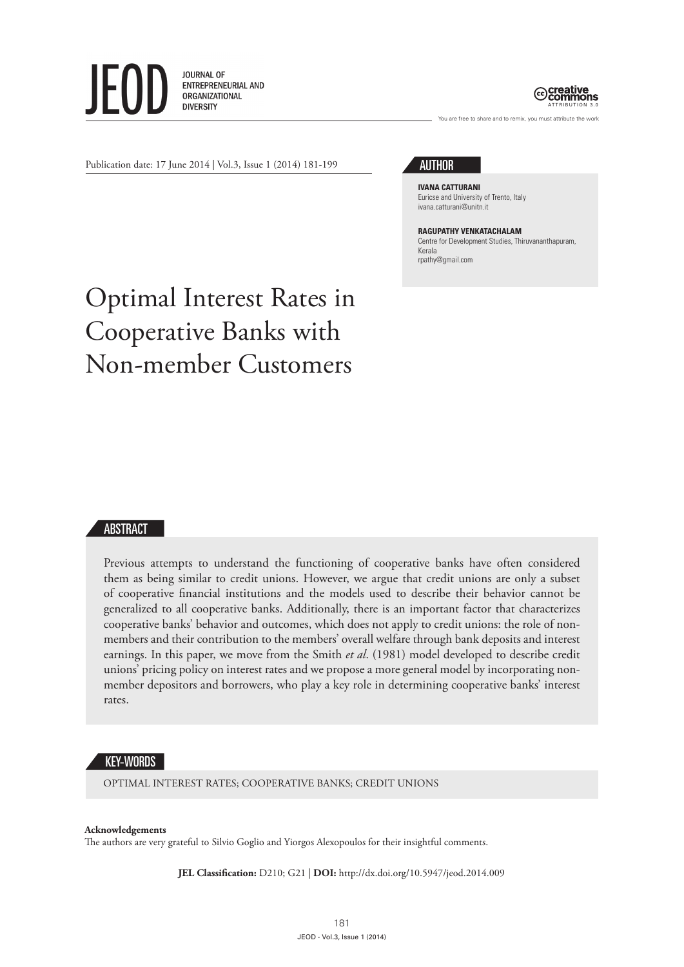**JOURNAL OF** ENTREPRENEURIAL AND **ORGANIZATIONAL DIVERSITY** 



You are free to share and to remix, you must attribute the work

Publication date: 17 June 2014 | Vol.3, Issue 1 (2014) 181-199

# AUTHOR

**IVANA CATTURANI** Euricse and University of Trento, Italy ivana.catturani@unitn.it

### **RAGUPATHY VENKATACHALAM**

Centre for Development Studies, Thiruvananthapuram, Kerala rpathy@gmail.com

# Optimal Interest Rates in Cooperative Banks with Non-member Customers

#### ABSTRACT

Previous attempts to understand the functioning of cooperative banks have often considered them as being similar to credit unions. However, we argue that credit unions are only a subset of cooperative financial institutions and the models used to describe their behavior cannot be generalized to all cooperative banks. Additionally, there is an important factor that characterizes cooperative banks' behavior and outcomes, which does not apply to credit unions: the role of nonmembers and their contribution to the members' overall welfare through bank deposits and interest earnings. In this paper, we move from the Smith *et al*. (1981) model developed to describe credit unions' pricing policy on interest rates and we propose a more general model by incorporating nonmember depositors and borrowers, who play a key role in determining cooperative banks' interest rates.

#### KEY-WORDS

OPTIMAL INTEREST RATES; COOPERATIVE BANKS; CREDIT UNIONS

#### **Acknowledgements**

The authors are very grateful to Silvio Goglio and Yiorgos Alexopoulos for their insightful comments.

**JEL Classification:** D210; G21 | **DOI:** http://dx.doi.org/10.5947/jeod.2014.009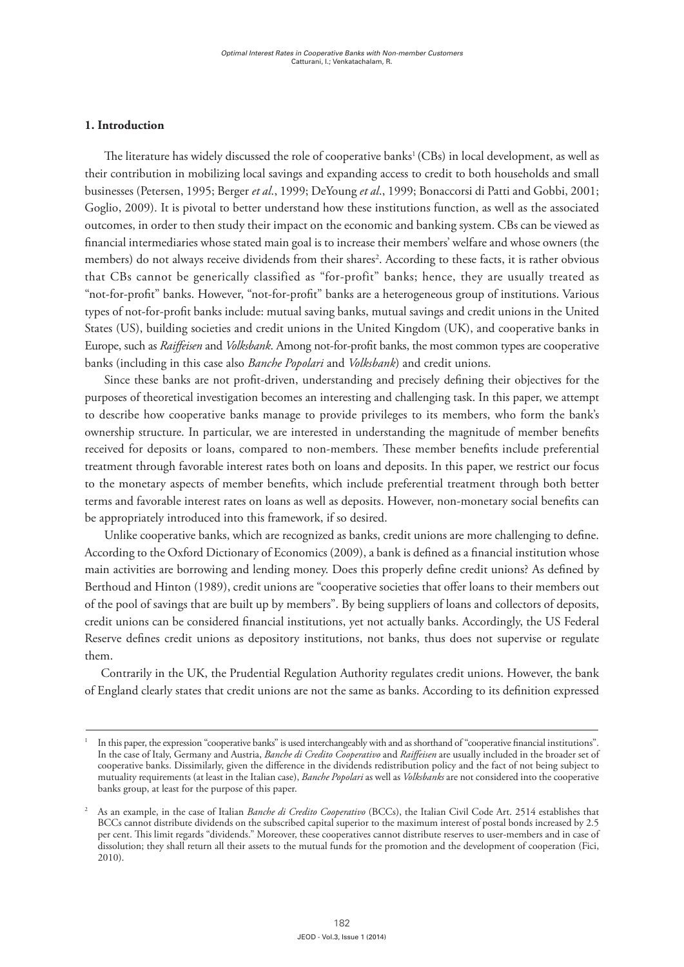#### **1. Introduction**

The literature has widely discussed the role of cooperative banks<sup>1</sup> (CBs) in local development, as well as their contribution in mobilizing local savings and expanding access to credit to both households and small businesses (Petersen, 1995; Berger *et al*., 1999; DeYoung *et al*., 1999; Bonaccorsi di Patti and Gobbi, 2001; Goglio, 2009). It is pivotal to better understand how these institutions function, as well as the associated outcomes, in order to then study their impact on the economic and banking system. CBs can be viewed as financial intermediaries whose stated main goal is to increase their members' welfare and whose owners (the members) do not always receive dividends from their shares<sup>2</sup>. According to these facts, it is rather obvious that CBs cannot be generically classified as "for-profit" banks; hence, they are usually treated as "not-for-profit" banks. However, "not-for-profit" banks are a heterogeneous group of institutions. Various types of not-for-profit banks include: mutual saving banks, mutual savings and credit unions in the United States (US), building societies and credit unions in the United Kingdom (UK), and cooperative banks in Europe, such as *Raiffeisen* and *Volksbank*. Among not-for-profit banks, the most common types are cooperative banks (including in this case also *Banche Popolari* and *Volksbank*) and credit unions.

Since these banks are not profit-driven, understanding and precisely defining their objectives for the purposes of theoretical investigation becomes an interesting and challenging task. In this paper, we attempt to describe how cooperative banks manage to provide privileges to its members, who form the bank's ownership structure. In particular, we are interested in understanding the magnitude of member benefits received for deposits or loans, compared to non-members. These member benefits include preferential treatment through favorable interest rates both on loans and deposits. In this paper, we restrict our focus to the monetary aspects of member benefits, which include preferential treatment through both better terms and favorable interest rates on loans as well as deposits. However, non-monetary social benefits can be appropriately introduced into this framework, if so desired.

Unlike cooperative banks, which are recognized as banks, credit unions are more challenging to define. According to the Oxford Dictionary of Economics (2009), a bank is defined as a financial institution whose main activities are borrowing and lending money. Does this properly define credit unions? As defined by Berthoud and Hinton (1989), credit unions are "cooperative societies that offer loans to their members out of the pool of savings that are built up by members". By being suppliers of loans and collectors of deposits, credit unions can be considered financial institutions, yet not actually banks. Accordingly, the US Federal Reserve defines credit unions as depository institutions, not banks, thus does not supervise or regulate them.

Contrarily in the UK, the Prudential Regulation Authority regulates credit unions. However, the bank of England clearly states that credit unions are not the same as banks. According to its definition expressed

<sup>1</sup> In this paper, the expression "cooperative banks" is used interchangeably with and as shorthand of "cooperative financial institutions". In the case of Italy, Germany and Austria, *Banche di Credito Cooperativo* and *Raiffeisen* are usually included in the broader set of cooperative banks. Dissimilarly, given the difference in the dividends redistribution policy and the fact of not being subject to mutuality requirements (at least in the Italian case), *Banche Popolari* as well as *Volksbanks* are not considered into the cooperative banks group, at least for the purpose of this paper.

<sup>2</sup> As an example, in the case of Italian *Banche di Credito Cooperativo* (BCCs), the Italian Civil Code Art. 2514 establishes that BCCs cannot distribute dividends on the subscribed capital superior to the maximum interest of postal bonds increased by 2.5 per cent. This limit regards "dividends." Moreover, these cooperatives cannot distribute reserves to user-members and in case of dissolution; they shall return all their assets to the mutual funds for the promotion and the development of cooperation (Fici, 2010).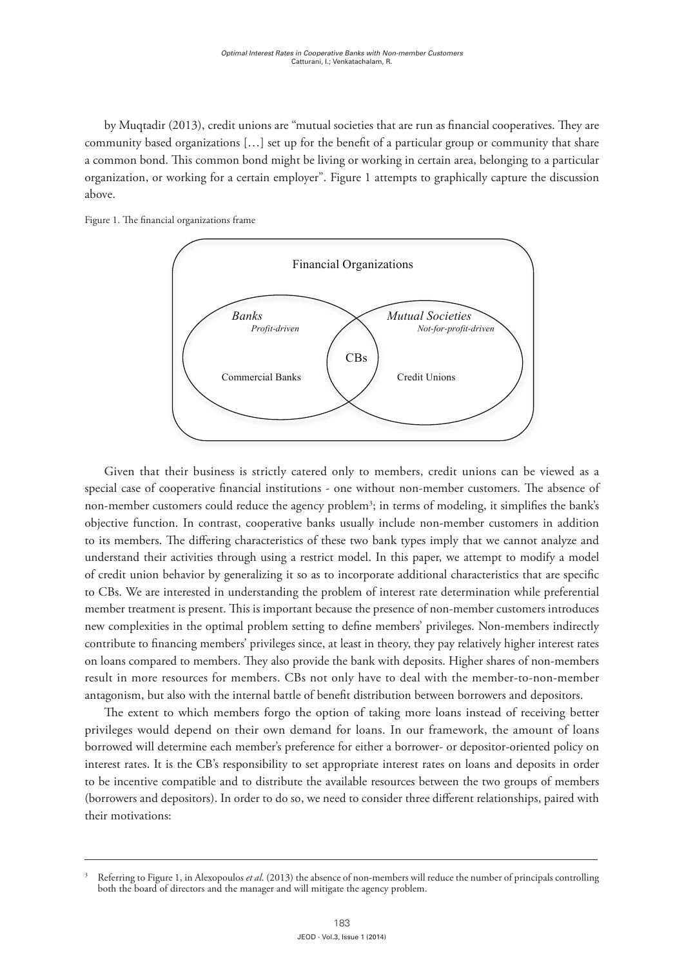by Muqtadir (2013), credit unions are "mutual societies that are run as financial cooperatives. They are community based organizations […] set up for the benefit of a particular group or community that share a common bond. This common bond might be living or working in certain area, belonging to a particular organization, or working for a certain employer". Figure 1 attempts to graphically capture the discussion above.





objective function. In contrast, cooperative banks usually include non-member customers in addition to its members. The differing characteristics of these two bank types imply that we cannot analyze and understand their activities through using a restrict model. In this paper, we attempt to modify a model of credit union behavior by generalizing it so as to incorporate additional characteristics that are specific to CBs. We are interested in understanding the problem of interest rate determination while preferential member treatment is present. This is important because the presence of non-member customers introduces new complexities in the optimal problem setting to define members' privileges. Non-members indirectly contribute to financing members' privileges since, at least in theory, they pay relatively higher interest rates on loans compared to members. They also provide the bank with deposits. Higher shares of non-members on loans compared to members. They also provide the bank with deposits. Higher shares of non-members presence of non-members internets. They also provide the bank with deposits, I fight shares of non-members  $\frac{1}{2}$ result in more resources for members. CBs not only have to deal with the member-to-non-member antagonism, but also with the internal battle of benefit distribution between borrowers and depositors. Given that their business is strictly catered only to members, credit unions can be viewed as a special case of cooperative financial institutions - one without non-member customers. The absence of non-member customers could reduce the agency problem<sup>3</sup>; in terms of modeling, it simplifies the bank's

The extent to which members forgo the option of taking more loans instead of receiving better privileges would depend on their own demand for loans. In our framework, the amount of loans borrowed will determine each member's preference for either a borrower- or depositor-oriented policy on interest rates. It is the CB's responsibility to set appropriate interest rates on loans and deposits in order to be incentive compatible and to distribute the available resources between the two groups of members (borrowers and depositors). In order to do so, we need to consider three different relationships, paired with their motivations:

different relationships, paired with the international motivations:  $\frac{1}{2}$ 

<sup>3</sup> Referring to Figure 1, in Alexopoulos *et al*. (2013) the absence of non-members will reduce the number of principals controlling both the board of directors and the manager and will mitigate the agency problem.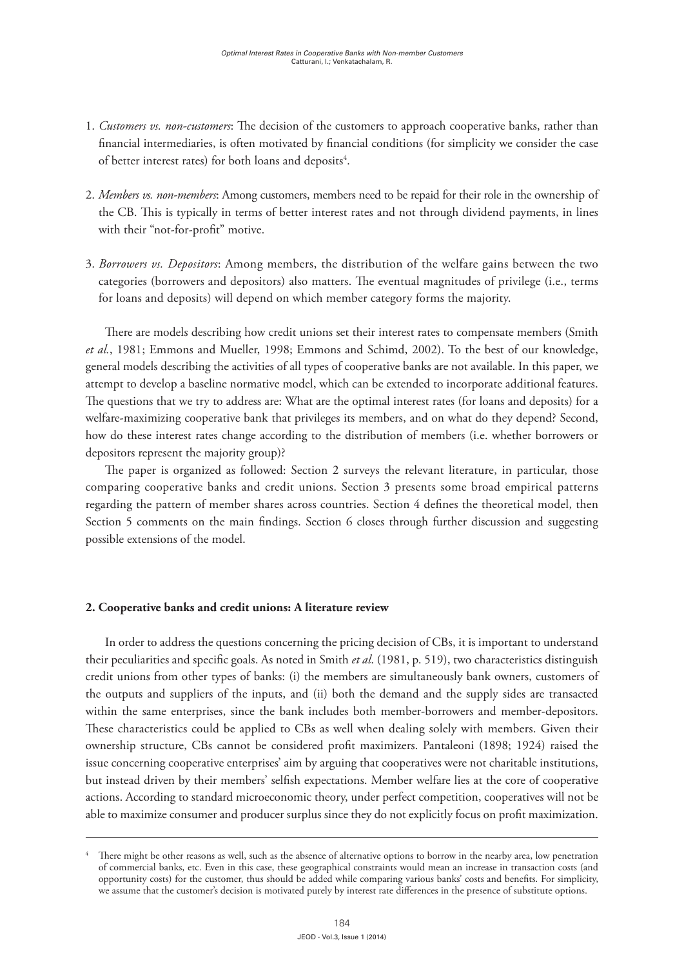- 1. *Customers vs. non-customers*: The decision of the customers to approach cooperative banks, rather than financial intermediaries, is often motivated by financial conditions (for simplicity we consider the case of better interest rates) for both loans and deposits<sup>4</sup>.
- 2. *Members vs. non-members*: Among customers, members need to be repaid for their role in the ownership of the CB. This is typically in terms of better interest rates and not through dividend payments, in lines with their "not-for-profit" motive.
- 3. *Borrowers vs. Depositors*: Among members, the distribution of the welfare gains between the two categories (borrowers and depositors) also matters. The eventual magnitudes of privilege (i.e., terms for loans and deposits) will depend on which member category forms the majority.

There are models describing how credit unions set their interest rates to compensate members (Smith *et al.*, 1981; Emmons and Mueller, 1998; Emmons and Schimd, 2002). To the best of our knowledge, general models describing the activities of all types of cooperative banks are not available. In this paper, we attempt to develop a baseline normative model, which can be extended to incorporate additional features. The questions that we try to address are: What are the optimal interest rates (for loans and deposits) for a welfare-maximizing cooperative bank that privileges its members, and on what do they depend? Second, how do these interest rates change according to the distribution of members (i.e. whether borrowers or depositors represent the majority group)?

The paper is organized as followed: Section 2 surveys the relevant literature, in particular, those comparing cooperative banks and credit unions. Section 3 presents some broad empirical patterns regarding the pattern of member shares across countries. Section 4 defines the theoretical model, then Section 5 comments on the main findings. Section 6 closes through further discussion and suggesting possible extensions of the model.

#### **2. Cooperative banks and credit unions: A literature review**

In order to address the questions concerning the pricing decision of CBs, it is important to understand their peculiarities and specific goals. As noted in Smith *et al*. (1981, p. 519), two characteristics distinguish credit unions from other types of banks: (i) the members are simultaneously bank owners, customers of the outputs and suppliers of the inputs, and (ii) both the demand and the supply sides are transacted within the same enterprises, since the bank includes both member-borrowers and member-depositors. These characteristics could be applied to CBs as well when dealing solely with members. Given their ownership structure, CBs cannot be considered profit maximizers. Pantaleoni (1898; 1924) raised the issue concerning cooperative enterprises' aim by arguing that cooperatives were not charitable institutions, but instead driven by their members' selfish expectations. Member welfare lies at the core of cooperative actions. According to standard microeconomic theory, under perfect competition, cooperatives will not be able to maximize consumer and producer surplus since they do not explicitly focus on profit maximization.

There might be other reasons as well, such as the absence of alternative options to borrow in the nearby area, low penetration of commercial banks, etc. Even in this case, these geographical constraints would mean an increase in transaction costs (and opportunity costs) for the customer, thus should be added while comparing various banks' costs and benefits. For simplicity, we assume that the customer's decision is motivated purely by interest rate differences in the presence of substitute options.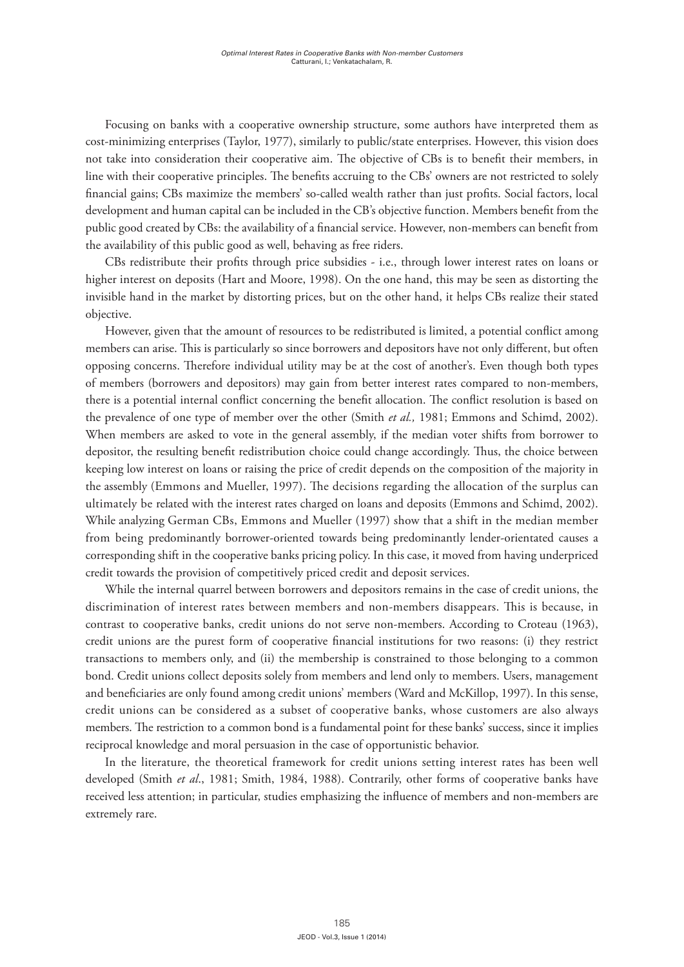Focusing on banks with a cooperative ownership structure, some authors have interpreted them as cost-minimizing enterprises (Taylor, 1977), similarly to public/state enterprises. However, this vision does not take into consideration their cooperative aim. The objective of CBs is to benefit their members, in line with their cooperative principles. The benefits accruing to the CBs' owners are not restricted to solely financial gains; CBs maximize the members' so-called wealth rather than just profits. Social factors, local development and human capital can be included in the CB's objective function. Members benefit from the public good created by CBs: the availability of a financial service. However, non-members can benefit from the availability of this public good as well, behaving as free riders.

CBs redistribute their profits through price subsidies - i.e., through lower interest rates on loans or higher interest on deposits (Hart and Moore, 1998). On the one hand, this may be seen as distorting the invisible hand in the market by distorting prices, but on the other hand, it helps CBs realize their stated objective.

However, given that the amount of resources to be redistributed is limited, a potential conflict among members can arise. This is particularly so since borrowers and depositors have not only different, but often opposing concerns. Therefore individual utility may be at the cost of another's. Even though both types of members (borrowers and depositors) may gain from better interest rates compared to non-members, there is a potential internal conflict concerning the benefit allocation. The conflict resolution is based on the prevalence of one type of member over the other (Smith *et al.,* 1981; Emmons and Schimd, 2002). When members are asked to vote in the general assembly, if the median voter shifts from borrower to depositor, the resulting benefit redistribution choice could change accordingly. Thus, the choice between keeping low interest on loans or raising the price of credit depends on the composition of the majority in the assembly (Emmons and Mueller, 1997). The decisions regarding the allocation of the surplus can ultimately be related with the interest rates charged on loans and deposits (Emmons and Schimd, 2002). While analyzing German CBs, Emmons and Mueller (1997) show that a shift in the median member from being predominantly borrower-oriented towards being predominantly lender-orientated causes a corresponding shift in the cooperative banks pricing policy. In this case, it moved from having underpriced credit towards the provision of competitively priced credit and deposit services.

While the internal quarrel between borrowers and depositors remains in the case of credit unions, the discrimination of interest rates between members and non-members disappears. This is because, in contrast to cooperative banks, credit unions do not serve non-members. According to Croteau (1963), credit unions are the purest form of cooperative financial institutions for two reasons: (i) they restrict transactions to members only, and (ii) the membership is constrained to those belonging to a common bond. Credit unions collect deposits solely from members and lend only to members. Users, management and beneficiaries are only found among credit unions' members (Ward and McKillop, 1997). In this sense, credit unions can be considered as a subset of cooperative banks, whose customers are also always members. The restriction to a common bond is a fundamental point for these banks' success, since it implies reciprocal knowledge and moral persuasion in the case of opportunistic behavior.

In the literature, the theoretical framework for credit unions setting interest rates has been well developed (Smith *et al*., 1981; Smith, 1984, 1988). Contrarily, other forms of cooperative banks have received less attention; in particular, studies emphasizing the influence of members and non-members are extremely rare.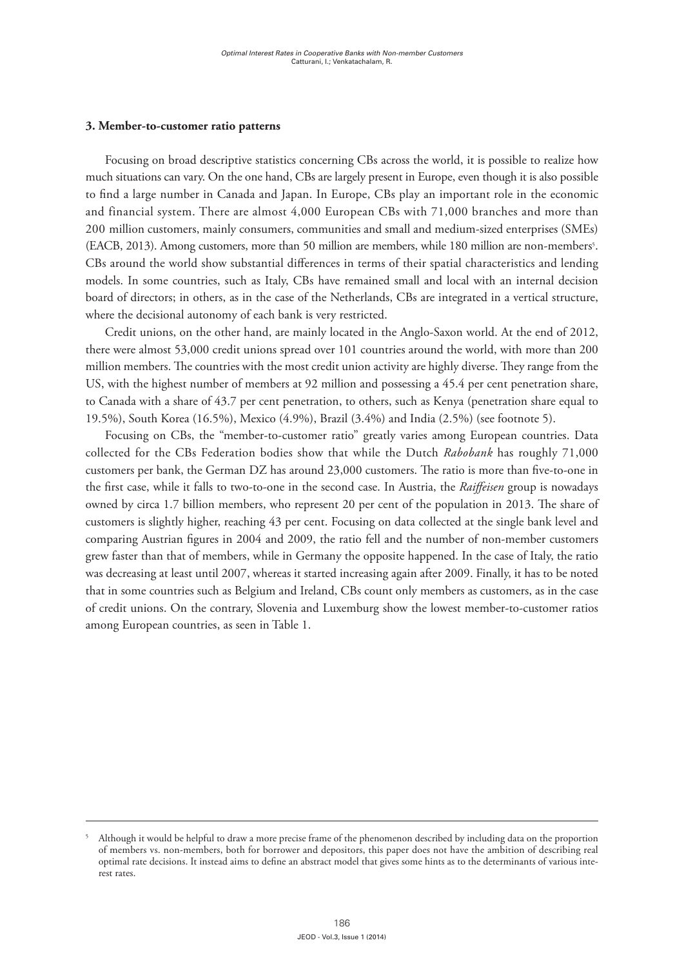#### **3. Member-to-customer ratio patterns**

Focusing on broad descriptive statistics concerning CBs across the world, it is possible to realize how much situations can vary. On the one hand, CBs are largely present in Europe, even though it is also possible to find a large number in Canada and Japan. In Europe, CBs play an important role in the economic and financial system. There are almost 4,000 European CBs with 71,000 branches and more than 200 million customers, mainly consumers, communities and small and medium-sized enterprises (SMEs) (EACB, 2013). Among customers, more than 50 million are members, while 180 million are non-members<sup>5</sup>. CBs around the world show substantial differences in terms of their spatial characteristics and lending models. In some countries, such as Italy, CBs have remained small and local with an internal decision board of directors; in others, as in the case of the Netherlands, CBs are integrated in a vertical structure, where the decisional autonomy of each bank is very restricted.

Credit unions, on the other hand, are mainly located in the Anglo-Saxon world. At the end of 2012, there were almost 53,000 credit unions spread over 101 countries around the world, with more than 200 million members. The countries with the most credit union activity are highly diverse. They range from the US, with the highest number of members at 92 million and possessing a 45.4 per cent penetration share, to Canada with a share of 43.7 per cent penetration, to others, such as Kenya (penetration share equal to 19.5%), South Korea (16.5%), Mexico (4.9%), Brazil (3.4%) and India (2.5%) (see footnote 5).

Focusing on CBs, the "member-to-customer ratio" greatly varies among European countries. Data collected for the CBs Federation bodies show that while the Dutch *Rabobank* has roughly 71,000 customers per bank, the German DZ has around 23,000 customers. The ratio is more than five-to-one in the first case, while it falls to two-to-one in the second case. In Austria, the *Raiffeisen* group is nowadays owned by circa 1.7 billion members, who represent 20 per cent of the population in 2013. The share of customers is slightly higher, reaching 43 per cent. Focusing on data collected at the single bank level and comparing Austrian figures in 2004 and 2009, the ratio fell and the number of non-member customers grew faster than that of members, while in Germany the opposite happened. In the case of Italy, the ratio was decreasing at least until 2007, whereas it started increasing again after 2009. Finally, it has to be noted that in some countries such as Belgium and Ireland, CBs count only members as customers, as in the case of credit unions. On the contrary, Slovenia and Luxemburg show the lowest member-to-customer ratios among European countries, as seen in Table 1.

<sup>5</sup> Although it would be helpful to draw a more precise frame of the phenomenon described by including data on the proportion of members vs. non-members, both for borrower and depositors, this paper does not have the ambition of describing real optimal rate decisions. It instead aims to define an abstract model that gives some hints as to the determinants of various interest rates.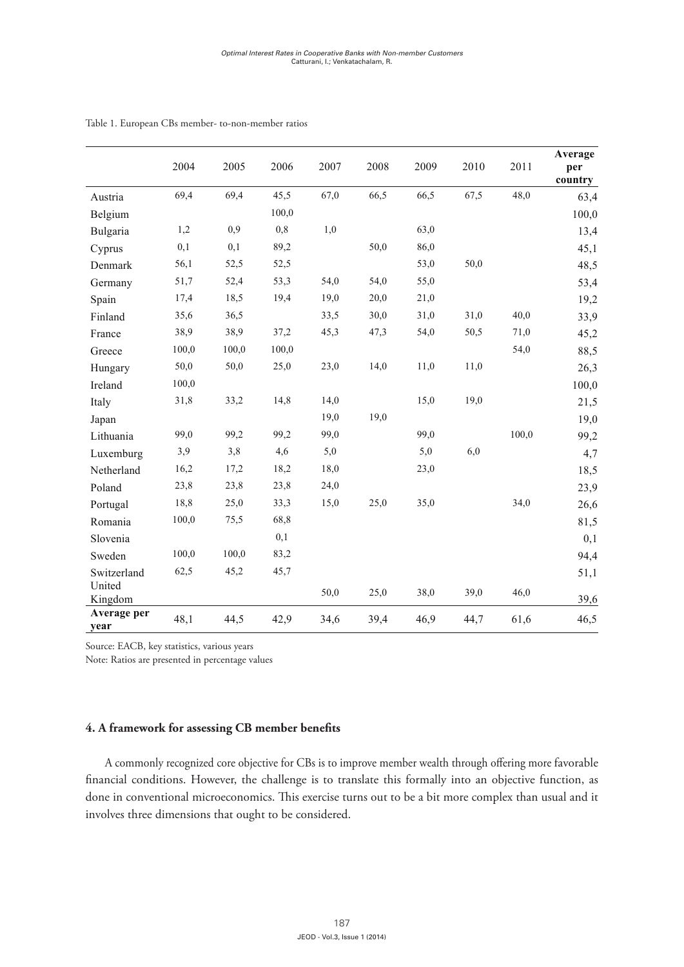|                     | 2004  | 2005  | 2006  | 2007 | 2008 | 2009 | 2010 | 2011  | Average<br>per<br>country |
|---------------------|-------|-------|-------|------|------|------|------|-------|---------------------------|
| Austria             | 69,4  | 69,4  | 45,5  | 67,0 | 66,5 | 66,5 | 67,5 | 48,0  | 63,4                      |
| Belgium             |       |       | 100,0 |      |      |      |      |       | 100,0                     |
| Bulgaria            | 1,2   | 0,9   | 0,8   | 1,0  |      | 63,0 |      |       | 13,4                      |
| Cyprus              | 0,1   | 0,1   | 89,2  |      | 50,0 | 86,0 |      |       | 45,1                      |
| Denmark             | 56,1  | 52,5  | 52,5  |      |      | 53,0 | 50,0 |       | 48,5                      |
| Germany             | 51,7  | 52,4  | 53,3  | 54,0 | 54,0 | 55,0 |      |       | 53,4                      |
| Spain               | 17,4  | 18,5  | 19,4  | 19,0 | 20,0 | 21,0 |      |       | 19,2                      |
| Finland             | 35,6  | 36,5  |       | 33,5 | 30,0 | 31,0 | 31,0 | 40,0  | 33,9                      |
| France              | 38,9  | 38,9  | 37,2  | 45,3 | 47,3 | 54,0 | 50,5 | 71,0  | 45,2                      |
| Greece              | 100,0 | 100,0 | 100,0 |      |      |      |      | 54,0  | 88,5                      |
| Hungary             | 50,0  | 50,0  | 25,0  | 23,0 | 14,0 | 11,0 | 11,0 |       | 26,3                      |
| Ireland             | 100,0 |       |       |      |      |      |      |       | 100,0                     |
| Italy               | 31,8  | 33,2  | 14,8  | 14,0 |      | 15,0 | 19,0 |       | 21,5                      |
| Japan               |       |       |       | 19,0 | 19,0 |      |      |       | 19,0                      |
| Lithuania           | 99,0  | 99,2  | 99,2  | 99,0 |      | 99,0 |      | 100,0 | 99,2                      |
| Luxemburg           | 3,9   | 3,8   | 4,6   | 5,0  |      | 5,0  | 6,0  |       | 4,7                       |
| Netherland          | 16,2  | 17,2  | 18,2  | 18,0 |      | 23,0 |      |       | 18,5                      |
| Poland              | 23,8  | 23,8  | 23,8  | 24,0 |      |      |      |       | 23,9                      |
| Portugal            | 18,8  | 25,0  | 33,3  | 15,0 | 25,0 | 35,0 |      | 34,0  | 26,6                      |
| Romania             | 100,0 | 75,5  | 68,8  |      |      |      |      |       | 81,5                      |
| Slovenia            |       |       | 0,1   |      |      |      |      |       | 0,1                       |
| Sweden              | 100,0 | 100,0 | 83,2  |      |      |      |      |       | 94,4                      |
| Switzerland         | 62,5  | 45,2  | 45,7  |      |      |      |      |       | 51,1                      |
| United<br>Kingdom   |       |       |       | 50,0 | 25,0 | 38,0 | 39,0 | 46,0  | 39,6                      |
| Average per<br>year | 48,1  | 44,5  | 42,9  | 34,6 | 39,4 | 46,9 | 44,7 | 61,6  | 46,5                      |

#### Table 1. European CBs member- to-non-member ratios

**TABLE 1. EUROPEAN CBS MEMBER- TO-NON-MEMBER RATIOS**

Source: EACB, key statistics, various years

Note: Ratios are presented in percentage values

# A commonly recognized core objective for CBs is to improve member wealth through **4. A framework for assessing CB member benefits**

A commonly recognized core objective for CBs is to improve member wealth through offering more favorable financial conditions. However, the challenge is to translate this formally into an objective function, as *4.1 Customers vs. non-customers* involves three dimensions that ought to be considered.done in conventional microeconomics. This exercise turns out to be a bit more complex than usual and it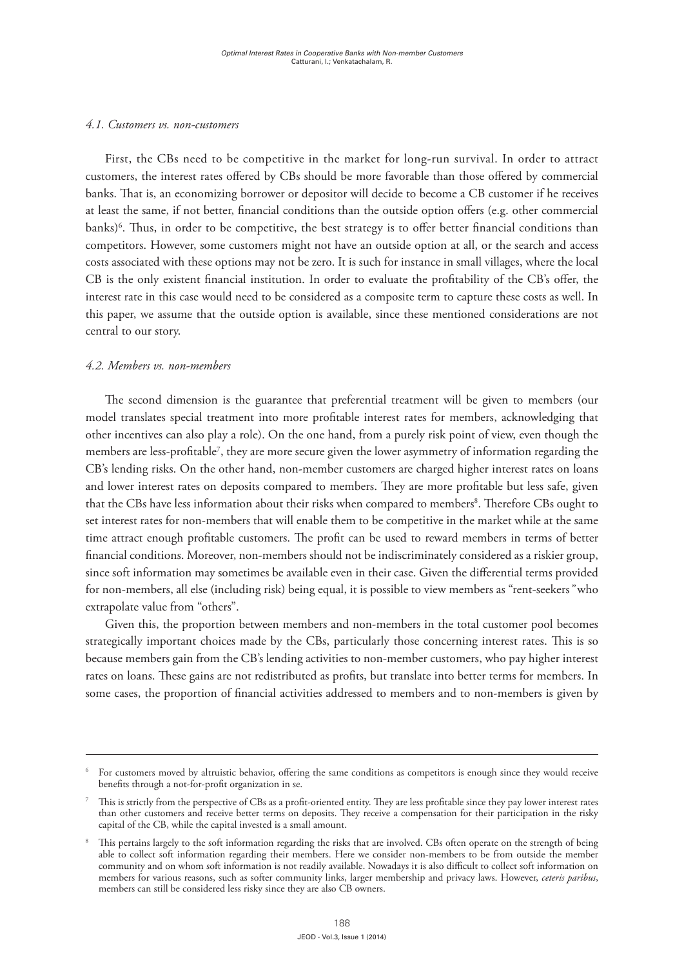#### *4.1. Customers vs. non-customers*

First, the CBs need to be competitive in the market for long-run survival. In order to attract customers, the interest rates offered by CBs should be more favorable than those offered by commercial banks. That is, an economizing borrower or depositor will decide to become a CB customer if he receives at least the same, if not better, financial conditions than the outside option offers (e.g. other commercial banks)6 . Thus, in order to be competitive, the best strategy is to offer better financial conditions than competitors. However, some customers might not have an outside option at all, or the search and access costs associated with these options may not be zero. It is such for instance in small villages, where the local CB is the only existent financial institution. In order to evaluate the profitability of the CB's offer, the interest rate in this case would need to be considered as a composite term to capture these costs as well. In this paper, we assume that the outside option is available, since these mentioned considerations are not central to our story.

#### *4.2. Members vs. non-members*

The second dimension is the guarantee that preferential treatment will be given to members (our model translates special treatment into more profitable interest rates for members, acknowledging that other incentives can also play a role). On the one hand, from a purely risk point of view, even though the members are less-profitable<sup>7</sup>, they are more secure given the lower asymmetry of information regarding the CB's lending risks. On the other hand, non-member customers are charged higher interest rates on loans and lower interest rates on deposits compared to members. They are more profitable but less safe, given that the CBs have less information about their risks when compared to members<sup>8</sup>. Therefore CBs ought to set interest rates for non-members that will enable them to be competitive in the market while at the same time attract enough profitable customers. The profit can be used to reward members in terms of better financial conditions. Moreover, non-members should not be indiscriminately considered as a riskier group, since soft information may sometimes be available even in their case. Given the differential terms provided for non-members, all else (including risk) being equal, it is possible to view members as "rent-seekers*"* who extrapolate value from "others".

Given this, the proportion between members and non-members in the total customer pool becomes strategically important choices made by the CBs, particularly those concerning interest rates. This is so because members gain from the CB's lending activities to non-member customers, who pay higher interest rates on loans. These gains are not redistributed as profits, but translate into better terms for members. In some cases, the proportion of financial activities addressed to members and to non-members is given by

<sup>6</sup> For customers moved by altruistic behavior, offering the same conditions as competitors is enough since they would receive benefits through a not-for-profit organization in se.

<sup>7</sup> This is strictly from the perspective of CBs as a profit-oriented entity. They are less profitable since they pay lower interest rates than other customers and receive better terms on deposits. They receive a compensation for their participation in the risky capital of the CB, while the capital invested is a small amount.

This pertains largely to the soft information regarding the risks that are involved. CBs often operate on the strength of being able to collect soft information regarding their members. Here we consider non-members to be from outside the member community and on whom soft information is not readily available. Nowadays it is also difficult to collect soft information on members for various reasons, such as softer community links, larger membership and privacy laws. However, *ceteris paribus*, members can still be considered less risky since they are also CB owners.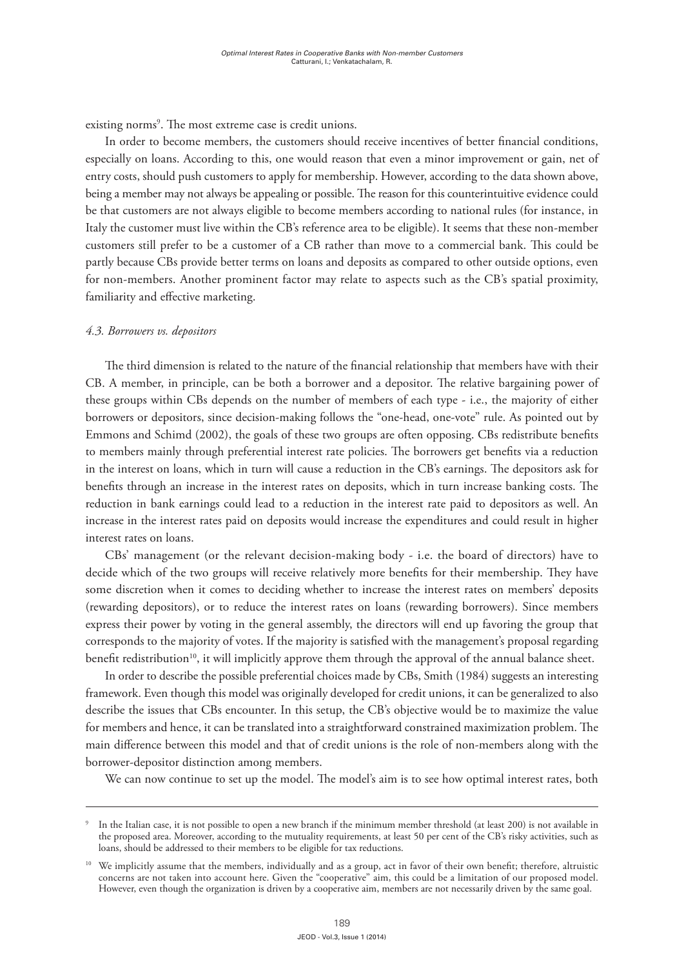existing norms<sup>9</sup>. The most extreme case is credit unions.

In order to become members, the customers should receive incentives of better financial conditions, especially on loans. According to this, one would reason that even a minor improvement or gain, net of entry costs, should push customers to apply for membership. However, according to the data shown above, being a member may not always be appealing or possible. The reason for this counterintuitive evidence could be that customers are not always eligible to become members according to national rules (for instance, in Italy the customer must live within the CB's reference area to be eligible). It seems that these non-member customers still prefer to be a customer of a CB rather than move to a commercial bank. This could be partly because CBs provide better terms on loans and deposits as compared to other outside options, even for non-members. Another prominent factor may relate to aspects such as the CB's spatial proximity, familiarity and effective marketing.

#### *4.3. Borrowers vs. depositors*

The third dimension is related to the nature of the financial relationship that members have with their CB. A member, in principle, can be both a borrower and a depositor. The relative bargaining power of these groups within CBs depends on the number of members of each type - i.e., the majority of either borrowers or depositors, since decision-making follows the "one-head, one-vote" rule. As pointed out by Emmons and Schimd (2002), the goals of these two groups are often opposing. CBs redistribute benefits to members mainly through preferential interest rate policies. The borrowers get benefits via a reduction in the interest on loans, which in turn will cause a reduction in the CB's earnings. The depositors ask for benefits through an increase in the interest rates on deposits, which in turn increase banking costs. The reduction in bank earnings could lead to a reduction in the interest rate paid to depositors as well. An increase in the interest rates paid on deposits would increase the expenditures and could result in higher interest rates on loans.

CBs' management (or the relevant decision-making body - i.e. the board of directors) have to decide which of the two groups will receive relatively more benefits for their membership. They have some discretion when it comes to deciding whether to increase the interest rates on members' deposits (rewarding depositors), or to reduce the interest rates on loans (rewarding borrowers). Since members express their power by voting in the general assembly, the directors will end up favoring the group that corresponds to the majority of votes. If the majority is satisfied with the management's proposal regarding benefit redistribution<sup>10</sup>, it will implicitly approve them through the approval of the annual balance sheet.

In order to describe the possible preferential choices made by CBs, Smith (1984) suggests an interesting framework. Even though this model was originally developed for credit unions, it can be generalized to also describe the issues that CBs encounter. In this setup, the CB's objective would be to maximize the value for members and hence, it can be translated into a straightforward constrained maximization problem. The main difference between this model and that of credit unions is the role of non-members along with the borrower-depositor distinction among members.

We can now continue to set up the model. The model's aim is to see how optimal interest rates, both

In the Italian case, it is not possible to open a new branch if the minimum member threshold (at least 200) is not available in the proposed area. Moreover, according to the mutuality requirements, at least 50 per cent of the CB's risky activities, such as loans, should be addressed to their members to be eligible for tax reductions.

<sup>&</sup>lt;sup>10</sup> We implicitly assume that the members, individually and as a group, act in favor of their own benefit; therefore, altruistic concerns are not taken into account here. Given the "cooperative" aim, this could be a limitation of our proposed model. However, even though the organization is driven by a cooperative aim, members are not necessarily driven by the same goal.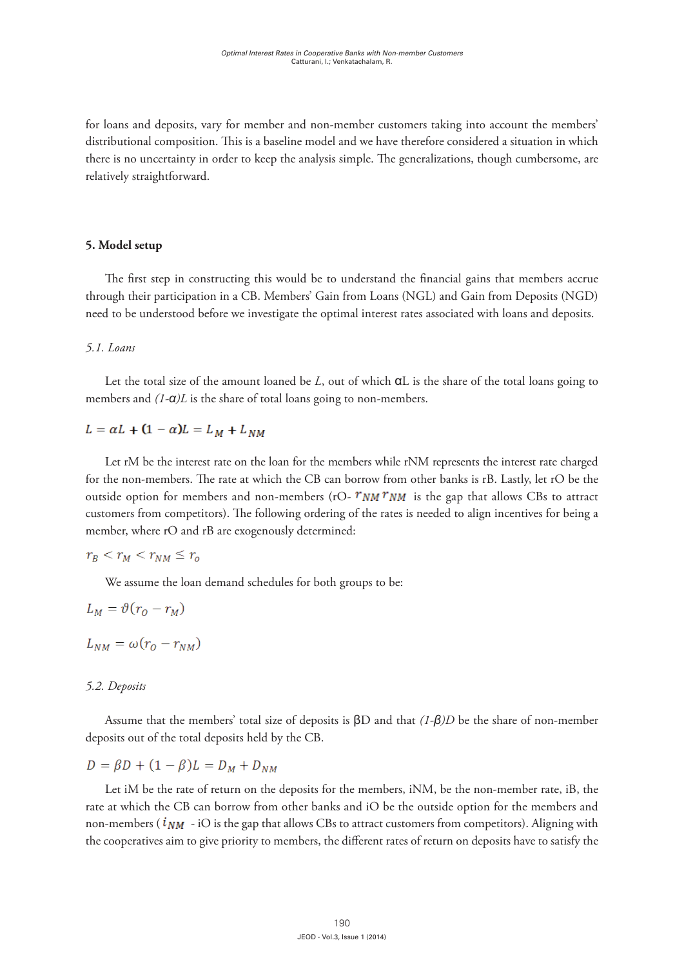for loans and deposits, vary for member and non-member customers taking into account the members' distributional composition. This is a baseline model and we have therefore considered a situation in which there is no uncertainty in order to keep the analysis simple. The generalizations, though cumbersome, are relatively straightforward.

#### **5. Model setup**

The first step in constructing this would be to understand the financial gains that members accrue through their participation in a CB. Members' Gain from Loans (NGL) and Gain from Deposits (NGD) need to be understood before we investigate the optimal interest rates associated with loans and deposits.

#### *5.1. Loans*

Let the total size of the amount loaned be  $L$ , out of which  $\alpha L$  is the share of the total loans going to members and  $(1-\alpha)L$  is the share of total loans going to non-members. Let the total size of the amount loaned be *L*, out of which  $\alpha$ L is the share of the total local loans  $\alpha$ 

# $L = \alpha L + (1 - \alpha) L = L_M + L_{NM}$

Let rM be the interest rate on the loan for the members while rNM represents the interest rate charged for the non-members. The rate at which the CB can borrow from other banks is rB. Lastly, let rO be the outside option for members and non-members (rO- $r_{NM} r_{NM}$  is the gap that allows CBs to attract customers from competitors). The following ordering of the rates is needed to align incentives for being a member, where  $rO$  and  $rB$  are exogenously determined:  $\frac{1}{2}$  members, where role role rates is not customers from competitors). The following ordering of the rates is nee Let rM be the interest rate on the loan for the members while rNM represents the interest rate charged  $\overline{G}$ 

$$
r_B < r_M < r_{NM} \le r_o
$$

We assume the loan demand schedules for both groups to be:

 $\tau$  satisfy the following, where i $\tau$  is exogenously given  $\tau$ 

$$
L_M = \vartheta(r_O - r_M)
$$

$$
L_{NM} = \omega(r_O - r_{NM})
$$

# *5.2 Deposits 5.2 Deposits 5.2 Deposits 5.2. Deposits 5.2 Deposits 5.2 Deposits*

sume that the members' total size of deposits is  $\beta D$  and that  $(1-\beta)D$  be the share of non-member deposits out of the total deposits held by the CB. Assume that the members' total size of deposits is *βD* and that *(1-β)D* be the share of non-Assume that the members' total size of deposits is  $\beta D$  and that  $(1-\beta)D$  be the share of non-member Assume that the members total size of deposits is  $pD$  and the case of the CB.

$$
D = \beta D + (1 - \beta)L = D_M + D_{NM}
$$

rate at which the CB can borrow from other banks and iO be the outside option for the members and non-members ( $i_{NM}$  - iO is the gap that allows CBs to attract customers from competitors). Aligning with the cooperatives aim to give priority to members, the different rates of return on deposits have to satisfy the with the cooperatives aim to give priority to members, the different rates of return on deposits have  $\mathcal{L}$ Let iM be the rate of return on the deposits for the members, iNM, be the non-member rate, iB, the the cooperatives aim to give priority to members, the different rates of return on deposits have to satisfy the  $\mathbf{t}$  the following, where is expected in  $\mathbf{t}$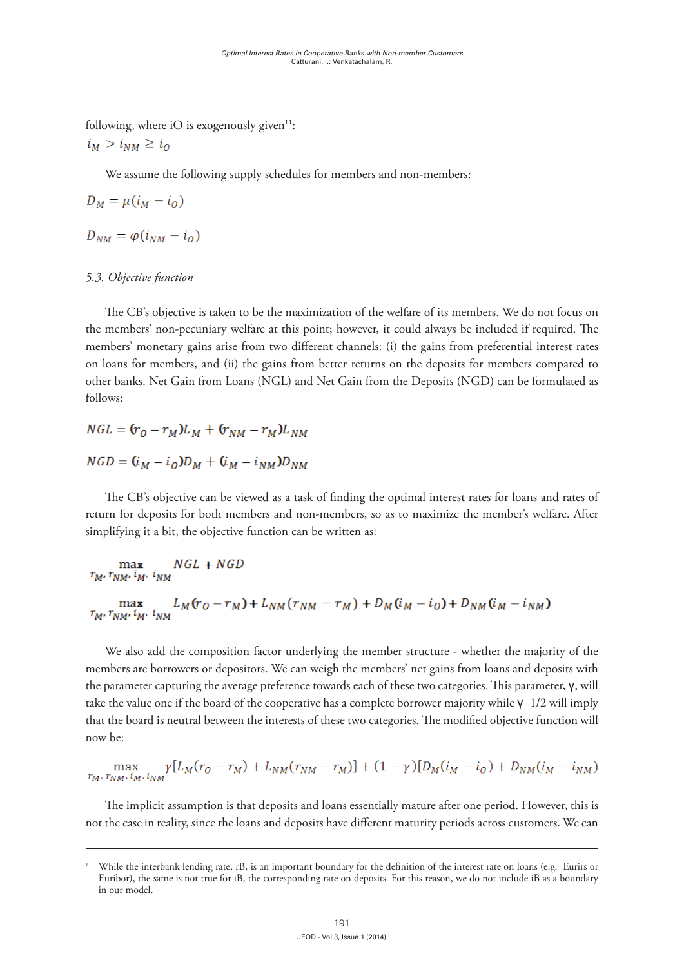following, where iO is exogenously given $11$ : to satisfy the following, where i $\alpha$  is exogenous ly given  $\alpha$  is exogenous.

$$
i_M > i_{NM} \geq i_O
$$

We assume the following supply schedules for members and non-members: We assume the following supply schedules for members and non-members: We assume the following supply schedules for members and non-members:

$$
D_M = \mu(i_M - i_O)
$$

$$
D_{NM} = \varphi(i_{NM} - i_0)
$$

#### *5.3 Objective Function 5.3 Objective Function 5.3. Objective function*

e CB's objective is taken to be the maximization of the welfare of its members. We do not focus on the members' non-pecuniary welfare at this point; however, it could always be included if required. The members' monetary gains arise from two different channels: (i) the gains from preferential interest rates on loans for members, and (ii) the other banks. Net Gain from Loans (NGL) and Net Gain from the Deposits (NGD) can be formulated as  $\mathcal{E} = \{ \text{Syl}, \text{Syl}, \text{Syl}, \text{Syl}, \text{Syl}, \text{Syl}, \text{Syl}, \text{Syl}, \text{Syl}, \text{Syl}, \text{Syl}, \text{Syl}, \text{Syl}, \text{Syl}, \text{Syl}, \text{Syl}, \text{Syl}, \text{Syl}, \text{Syl}, \text{Syl}, \text{Syl}, \text{Syl}, \text{Syl}, \text{Syl}, \text{Syl}, \text{Syl}, \text{Syl}, \text{Syl}, \text{Syl}, \text{Syl}, \text{Syl}, \text{Syl}, \text{Syl}, \text{Syl}, \text{Syl}, \$  $T$   $\overline{C}$  objective is taken to be the maximization of the maximization of the welfare of its members. We do not the members of the welfare of  $\overline{C}$ The CB's objective is taken to be the maximization of the welfare of its members. We do not focus on on loans for members, and (ii) th on loans for members, and (ii) the gains from better returns on the deposits for members compared to<br> follows: other banks. Net Gain from Loans (NGL) and Net Gain from the Deposits (NGD) can be formulated as<br>follows:  $\mathcal{O}$  deposits ( $\mathcal{N}$ ) can be found as follows: follows:

 $NGL = (r_O - r_M)L_M + (r_{NM} - r_M)L_{NM}$  $NGD = (i_M - i_Q)D_M + (i_M - i_{NM})D_{NM}$ 

The CB's objective can be viewed as a task of finding the optimal interest rates for loans and rates of return for deposits for both members and non-members, so as to maximize the member's welfare. After simplifying it a bit, the objective function can be written as:

 $NGL + NGD$ max  $r_M$ ,  $r_{NM}$ ,  $i_M$ ,  $i_{NM}$ 

$$
\max_{r_M, r_{NM'} \, i_{M'} \, i_{NM}} L_M(r_0 - r_M) + L_{NM}(r_{NM} - r_M) + D_M(i_M - i_0) + D_{NM}(i_M - i_{NM})
$$

We also add the composition factor underlying the member structure - whether the majority of the we also add the composition ractor difference the member structure whether the majority of the<br>members are borrowers or depositors. We can weigh the members' net gains from loans and deposits with the parameter capturing the average preference towards each of these two categories. This parameter,  ${\bf v}$ , will  $\frac{1}{\sqrt{1-\frac{1}{\sqrt{1-\frac{1}{\sqrt{1-\frac{1}{\sqrt{1-\frac{1}{\sqrt{1-\frac{1}{\sqrt{1-\frac{1}{\sqrt{1-\frac{1}{\sqrt{1-\frac{1}{\sqrt{1-\frac{1}{\sqrt{1-\frac{1}{\sqrt{1-\frac{1}{\sqrt{1-\frac{1}{\sqrt{1-\frac{1}{\sqrt{1-\frac{1}{\sqrt{1-\frac{1}{\sqrt{1-\frac{1}{\sqrt{1-\frac{1}{\sqrt{1-\frac{1}{\sqrt{1-\frac{1}{\sqrt{1-\frac{1}{\sqrt{1-\frac{1}{\sqrt{1-\frac{1}{\sqrt{1-\frac{1}{\sqrt{1-\frac{1$  $\frac{1}{\sqrt{1-\frac{1}{\sqrt{1-\frac{1}{\sqrt{1-\frac{1}{\sqrt{1-\frac{1}{\sqrt{1-\frac{1}{\sqrt{1-\frac{1}{\sqrt{1-\frac{1}{\sqrt{1-\frac{1}{\sqrt{1-\frac{1}{\sqrt{1-\frac{1}{\sqrt{1-\frac{1}{\sqrt{1-\frac{1}{\sqrt{1-\frac{1}{\sqrt{1-\frac{1}{\sqrt{1-\frac{1}{\sqrt{1-\frac{1}{\sqrt{1-\frac{1}{\sqrt{1-\frac{1}{\sqrt{1-\frac{1}{\sqrt{1-\frac{1}{\sqrt{1-\frac{1}{\sqrt{1-\frac{1}{\sqrt{1-\frac{1}{\sqrt{1-\frac{1$ members are borrowers or depositors. We can weigh the members' net gains from loans and deposits with<br>the parameter capturing the average preference towards each of these two categories. This parameter, γ, will take the value one if the board of the cooperative has a complete borrower majority while **γ**=1/2 will imply that the board is neutral between the interests of these two categories. The modified objective function will now be: now be:

$$
\max_{r_M, r_{NM}, i_M, i_{NM}} \gamma [L_M(r_0 - r_M) + L_{NM}(r_{NM} - r_M)] + (1 - \gamma)[D_M(i_M - i_0) + D_{NM}(i_M - i_{NM})]
$$

The implicit assumption is that deposits and loans essentially mature after one period. However, this is not the case in reality, since the loans and deposits have different maturity periods across customers. We can capture the proportions of loans and deposits that are retired during each period,  $\frac{1}{2}$ The implicit assumption is that deposits and loans essentially mature after one period. However, this is not the case in reality, since the loans and deposits have different maturity periods across customers. We can

discount rates or Assuming that a constant proportion, every period, of the loans are retired every period, th<br>The loans are retired every period, the loans are retired every period, the loans are retired every period, th

capture the proportions of loans and deposits that are retired during each period,  $\epsilon$ 

<sup>&</sup>lt;sup>11</sup> While the interbank lending rate, rB, is an important boundary for the definition of the interest rate on loans (e.g. Eurirs or Euribor), the same is not true for iB, the corresponding rate on deposits. For this reason, we do not include iB as a boundary<br>in our model. It such a factor,  $\frac{1}{2}$  for each period by a factor,  $\frac{1}{2}$  for  $\frac{1}{2}$  factor,  $\frac{1}{2}$ in our model. in our model. discount in the intervant lenging rate, rb, is an important poundary for the definition of the interest rate on loans (e.g. Eurifs or<br>Furibor), the same is not true for iB, the corresponding rate on deposits. For this reas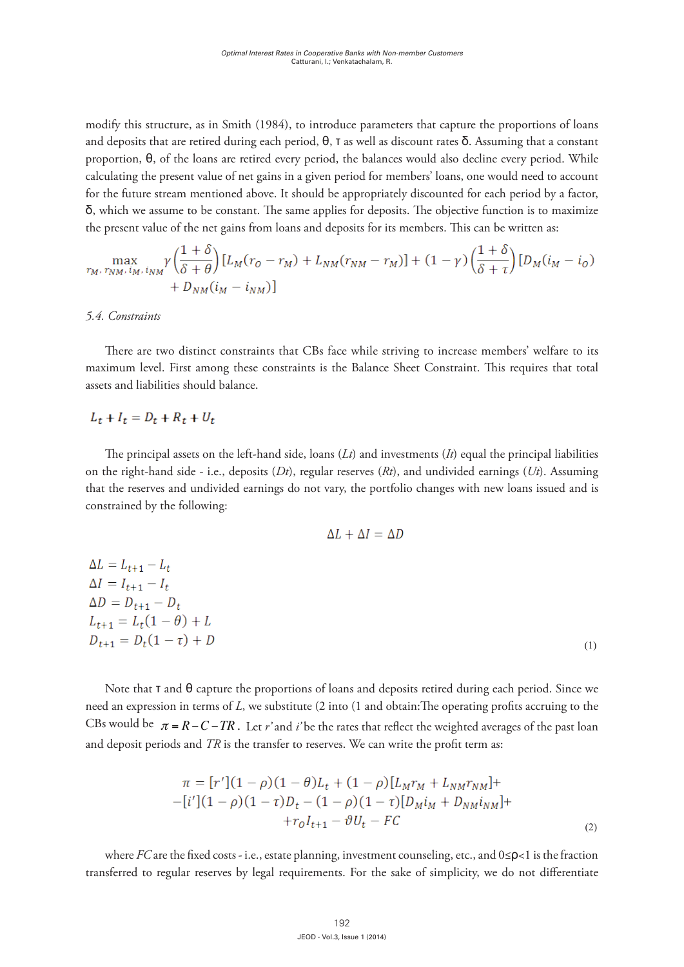modify this structure, as in Smith (1984), to introduce parameters that capture the proportions of loans and deposits that are retired during each period,  $\theta$ , T as well as discount rates  $\delta$ . Assuming that a constant  $p$ roportion,  $\theta$ , of the loans are retired every period, the balances would also decline every period. While calculating the present value of net gains in a given period for members' loans, one would need to account for the future stream mentioned above. It should be appropriately discounted for each period by a factor,  $\delta$ , which we assume to be constant. The same applies for deposits. The objective function is to maximize the present value of the net gains from loans and deposits for its members. This can be written as:

$$
\max_{r_M, r_{NM}, i_M, i_{NM}} \gamma \left(\frac{1+\delta}{\delta+\theta}\right) [L_M(r_O - r_M) + L_{NM}(r_{NM} - r_M)] + (1-\gamma) \left(\frac{1+\delta}{\delta+\tau}\right) [D_M(i_M - i_O) + D_{NM}(i_M - i_{NM})]
$$

*5.4 Constraints 5.4. Constraints 5.4 Constraints*

There are two distinct constraints that CBs face while striving to increase members' welfare to its maximum level. First among these constraints is the Balance Sheet Constraint. This requires that total assets and liabilities should balance.

## $L_t + I_t = D_t + R_t + U_t$

The principal assets on the left-hand side, loans  $(Lt)$  and investments  $(H)$  equal the principal liabilities on the right-hand side - i.e., deposits  $(Dt)$ , regular reserves  $(Rt)$ , and undivided earnings  $(Ut)$ . Assuming that the reserves and undivided earnings do not vary, the portfolio changes with new loans issued and is constrained by the following:

$$
\Delta L + \Delta I = \Delta D
$$

| $\Delta L = L_{t+1} - L_t$    |     |
|-------------------------------|-----|
| $\Delta I = I_{t+1} - I_t$    |     |
| $\Delta D = D_{t+1} - D_t$    |     |
| $L_{t+1} = L_t(1-\theta) + L$ |     |
| $D_{t+1} = D_t(1-\tau) + D$   | (1) |
|                               |     |

 $N_{\rm eff}$  and  $\theta_{\rm eff}$  and deposits retired during each period. Since  $\theta_{\rm eff}$ Note that **τ** and  $\theta$  capture the proportions of loans and deposits retired during each period. Since we and deposit periods and *TR* is the transfer to reserves. We can write the profit term as: need an expression in terms of *L*, we substitute (2 into (1 and obtain:The operating profits accruing to the CBs would be  $\pi = R - C - TR$ . Let r'and i'be the rates that reflect the weighted averages of the past loan and deposit periods and TR is to

$$
\pi = [r'](1 - \rho)(1 - \theta)L_t + (1 - \rho)[L_M r_M + L_{NM} r_{NM}] +
$$
  
–[i'](1 - \rho)(1 - \tau)D\_t - (1 - \rho)(1 - \tau)[D\_M i\_M + D\_{NM} i\_{NM}] +  
+r\_0 I\_{t+1} - \vartheta U\_t - FC \n(2)

transferred to regular reserves by legal requirements. For the sake of simplicity, we do not differentiate where  $FC$  are the fixed costs - i.e., estate planning, investment counseling, etc., and  $0 \le \rho < 1$  is the fraction  $\overline{a}$  differentiate between member and non-member categories for past period loans. In the m,  $\overline{a}$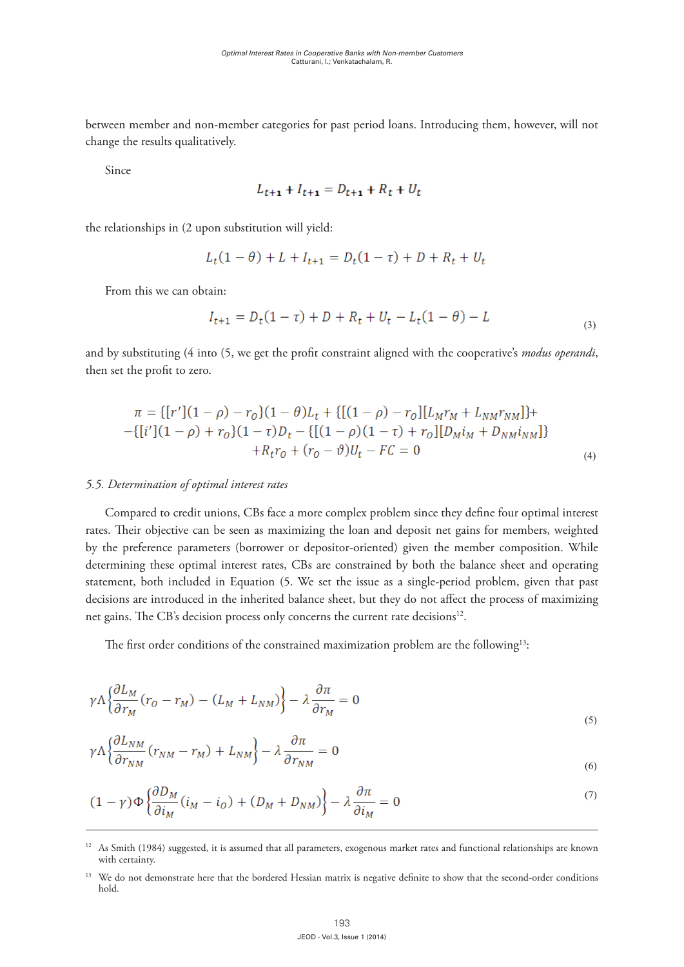between member and non-member categories for past period loans. Introducing them, however, will not change the results qualitatively. fraction transferred to regular reserves by legal requirements. For the sake of simplicity, we do not between member and non-member categories for past period loans. Introducing them, however, will not

Since

$$
L_{t+1} + I_{t+1} = D_{t+1} + R_t + U_t
$$

the relationships in (2 upon substitution will yield: the relationships in (2 upon substitution will yield: the relationships in (2 upon substitution will yield: the relationships in (2 upon substitution will yield:

$$
L_t(1 - \theta) + L + I_{t+1} = D_t(1 - \tau) + D + R_t + U_t
$$

From this we can obtain: From this we can obtain: From this we can obtain:

$$
I_{t+1} = D_t(1-\tau) + D + R_t + U_t - L_t(1-\theta) - L
$$
\n(3)

and by substituting (4 into (5, we get the profit constraint aligned with the cooperative's modus operandi, then set the profit to zero. *operandi*, then set the profit to zero.

$$
\pi = \{ [r'](1 - \rho) - r_0 \}(1 - \theta)L_t + \{ [(1 - \rho) - r_0][L_M r_M + L_{NM} r_{NM}] \} + \newline - \{ [i'](1 - \rho) + r_0 \}(1 - \tau)D_t - \{ [(1 - \rho)(1 - \tau) + r_0][D_M i_M + D_{NM} i_{NM}] \} + R_t r_0 + (r_0 - \vartheta)U_t - FC = 0
$$
\n(4)

# *5.5. Determination of optimal interest rates 5.5 Determination of Optimal Interest Rates 5.5 Determination of Optimal Interest Rates 5.5 Determination of Optimal Interest Rates*

 $\frac{1}{\sqrt{2}}$ 

Compared to credit unions, CBs face a more complex problem since they define four optimal interest  $\pi$ rates. Their objective can be seen as maximizing the loan and deposit net gains for members, weighted by the preference parameters (borrower or depositor-oriented) given the member composition. While determining these optimal interest rates, CBs are constrained by both the balance sheet and operating statement, both included in Equation (5. We set the issue as a single-period problem, given that past decisions are introduced in the inherited balance sheet, but they do not affect the process of maximizing net gains. The CB's decision process only concerns the current rate decisions<sup>12</sup>. the current rate of the current rate net gains. The CB's decision process only concerns the current rate decisions<sup>12</sup>. pared to create unions, CBs face a more complex problem since they define four optimal interest  $\frac{1}{1-\epsilon}$  is the contract of the loan and deposit net gains for includers, weighted member of preference parameters (borrower or depositor-oriented) given the member composition. While

The first order conditions of the constrained maximization problem are the following<sup>13</sup>:  $T$  first order constraints of the constraints of the following  $\overline{C}$ the current rate decisions12.

$$
\gamma \Lambda \left\{ \frac{\partial L_M}{\partial r_M} (r_O - r_M) - (L_M + L_{NM}) \right\} - \lambda \frac{\partial \pi}{\partial r_M} = 0 \tag{5}
$$

$$
\gamma \Lambda \left\{ \frac{\partial L_{NM}}{\partial r_{NM}} (r_{NM} - r_M) + L_{NM} \right\} - \lambda \frac{\partial \pi}{\partial r_{NM}} = 0
$$
\n<sup>(6)</sup>

$$
(1 - \gamma) \Phi \left\{ \frac{\partial D_M}{\partial i_M} (i_M - i_O) + (D_M + D_{NM}) \right\} - \lambda \frac{\partial \pi}{\partial i_M} = 0 \tag{7}
$$

<sup>&</sup>lt;sup>12</sup> As Smith (1984) suggested, it is assumed that all parameters, exogenous market rates and functional relationships are known with certainty.

<sup>&</sup>lt;sup>13</sup> We do not demonstrate here that the bordered Hessian matrix is negative definite to show that the second-order conditions hold.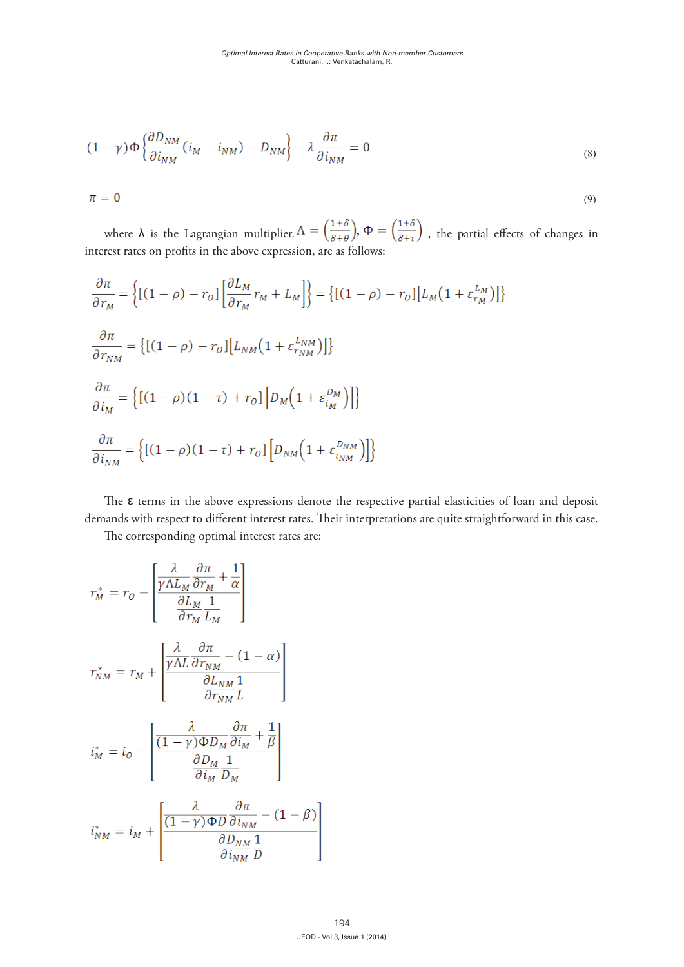$$
(1 - \gamma) \Phi \left\{ \frac{\partial D_{NM}}{\partial i_{NM}} (i_M - i_{NM}) - D_{NM} \right\} - \lambda \frac{\partial \pi}{\partial i_{NM}} = 0
$$
\n(8)

$$
\pi = 0
$$

(9)

 $(1+\delta)$ ,  $(1+\delta)$  $\delta t$  rates on profit rates on profit  $\delta t$  is the above expression, and  $\delta t$  is a following  $\delta t$  is an as follows: where  $\lambda$  is the Lagrangian multiplier,  $\Lambda = \left(\frac{1}{8+Q}\right)$ ,  $\Phi = \left(\frac{1}{8+Q}\right)$ , the partial effects of changes in nterest rates on profits in the above expression, are as follows: where  $\lambda$  is the Lagrangian multiplier.  $\Lambda = \left(\frac{1+\delta}{\delta+\theta}\right), \Phi = \left(\frac{1+\delta}{\delta+\tau}\right)$ , the partial effects of changes in interest rates on profits in the above expression, are as follows: , the partial effects of changes in interest rates on profits in the above expression, are as follows: where  $\lambda$  is the Lagrangian multiplier,  $\Lambda = \left(\frac{1+\delta}{s+\delta}\right)$ ,  $\Phi = \left(\frac{1+\delta}{s+\delta}\right)$ , the partial effects of changes in iterest rates on profits in the above expression, are as follows:

$$
\frac{\partial \pi}{\partial r_M} = \left\{ \left[ (1 - \rho) - r_o \right] \left[ \frac{\partial L_M}{\partial r_M} r_M + L_M \right] \right\} = \left\{ \left[ (1 - \rho) - r_o \right] \left[ L_M \left( 1 + \varepsilon_{r_M}^{L_M} \right) \right] \right\}
$$
\n
$$
\frac{\partial \pi}{\partial r_{NM}} = \left\{ \left[ (1 - \rho) - r_o \right] \left[ L_{NM} \left( 1 + \varepsilon_{r_{NM}}^{L_{NM}} \right) \right] \right\}
$$
\n
$$
\frac{\partial \pi}{\partial i_M} = \left\{ \left[ (1 - \rho) (1 - \tau) + r_o \right] \left[ D_M \left( 1 + \varepsilon_{i_M}^{D_M} \right) \right] \right\}
$$
\n
$$
\frac{\partial \pi}{\partial i_{NM}} = \left\{ \left[ (1 - \rho) (1 - \tau) + r_o \right] \left[ D_{NM} \left( 1 + \varepsilon_{i_{NM}}^{D_{NM}} \right) \right] \right\}
$$

 

demands with respect to different interest rates. Their interpretations are quite straightforward in this case. demands with respect to different interest rates. Their interpretations are quite straightforward in The ε terms in the above expressions denote the respective partial elasticities of loan and deposit The ε terms in the above expressions denote the respective partial elasticities of loan and deposit

The corresponding optimal interest rates are:  $\frac{1}{1}$  as Smith (i) is assumed that all parameters, experimented, experimental relationships are laterated rates are laterated rates and functionships are laterated rates are laterated rates and functionships are later  $1 - 8 - 1$  $\frac{1}{2}$  as suggested, it is assumed that all parameters, exogenous market rates and functional relationships are later  $\frac{1}{2}$ 

$$
r_M^* = r_O - \left[ \frac{\frac{\lambda}{\gamma \Lambda L_M} \frac{\partial \pi}{\partial r_M} + \frac{1}{\alpha}}{\frac{\partial L_M}{\partial r_M} \frac{1}{L_M}} \right]
$$
  

$$
r_{NM}^* = r_M + \left[ \frac{\frac{\lambda}{\gamma \Lambda L} \frac{\partial \pi}{\partial r_{NM}} - (1 - \alpha)}{\frac{\partial L_{NM}}{\partial r_{NM}} \frac{1}{L}} \right]
$$
  

$$
i_M^* = i_O - \left[ \frac{\frac{\lambda}{(1 - \gamma) \Phi D_M} \frac{\partial \pi}{\partial i_M} + \frac{1}{\beta}}{\frac{\partial D_M}{\partial i_M} \frac{1}{D_M}} \right]
$$
  

$$
i_{NM}^* = i_M + \left[ \frac{\frac{\lambda}{(1 - \gamma) \Phi D} \frac{\partial \pi}{\partial i_M} - (1 - \beta)}{\frac{\partial D_{NM}}{\partial i_{NM}} - (1 - \beta)} \right]
$$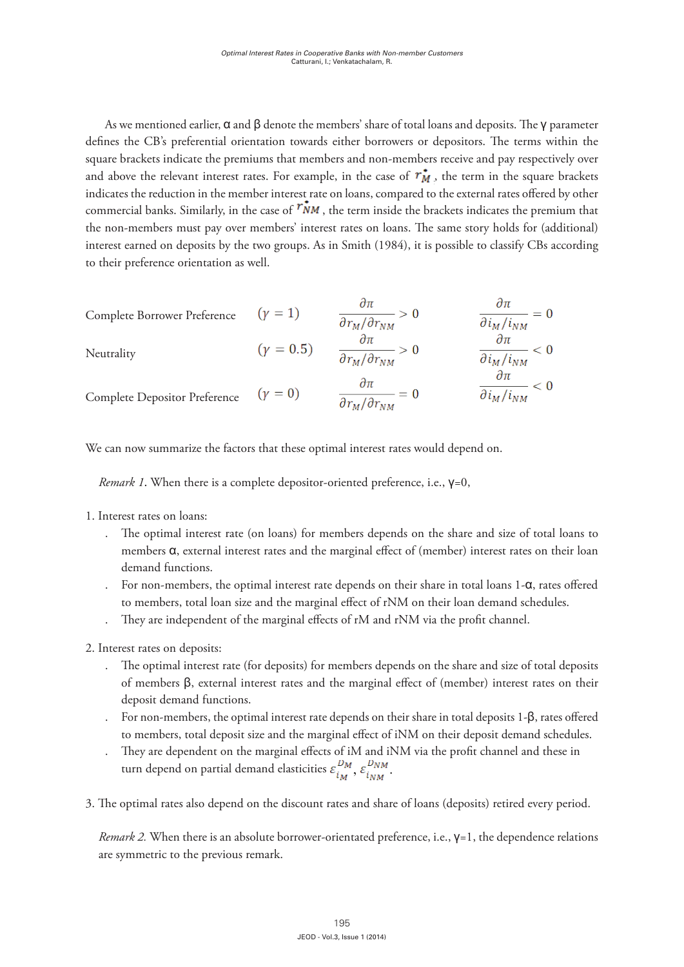As we mentioned earlier,  $\alpha$  and  $\beta$  denote the members' share of total loans and deposits. The  $\gamma$  parameter defines the CB's preferential orientation towards either borrowers or depositors. The terms within the square brackets indicate the premiums that members and non-members receive and pay respectively over and above the relevant interest rates. For example, in the case of  $r_M^*$ , the term in the square brackets indicates the reduction in the member interest rate on loans, compared to the external rates offered by other commercial banks. Similarly, in the case of  $\mathring{r_{NM}}$ , the term inside the brackets indicates the premium that the non-members must pay over members' interest rates on loans. The same story holds for (additional) interest earned on deposits by the two groups. As in Smith (1984), it is possible to classify CBs according to their preference orientation as well. Smith (1984), it is possible to classify CBs according to their preference orientation as well.

Complete Borrower Preference

\n
$$
(\gamma = 1) \qquad \frac{\partial \pi}{\partial r_M / \partial r_{NM}} > 0 \qquad \frac{\partial \pi}{\partial i_M / i_{NM}} = 0
$$
\nNeutrality

\n
$$
(\gamma = 0.5) \qquad \frac{\partial \pi}{\partial r_M / \partial r_{NM}} > 0 \qquad \frac{\partial \pi}{\partial i_M / i_{NM}} < 0
$$
\nComplete Depositor Preference

\n
$$
(\gamma = 0) \qquad \frac{\partial \pi}{\partial r_M / \partial r_{NM}} = 0 \qquad \frac{\partial \pi}{\partial i_M / i_{NM}} < 0
$$

We can now summarize the factors that these optimal interest rates would depend on. *Remark 1.* When there is a complete depositor-oriented preference, i.e., γ=0,

*Remark 1*. When there is a complete depositor-oriented preference, i.e.,  $\gamma=0$ ,  $\mathbf{r}$  loans to members a, external interest rates and the marginal effect of  $\mathbf{r}$  $\frac{1}{1}$  interest rate (on loans) for members depends on the share and size of members depends on the share and size of members depends on the share and size of members dependent on the share and size of members dependen *Remark 1*. When there is a complete depositor-oriented preference, i.e., γ=0,

- 1. Interest rates on loans:  $t_{\text{atoc}}$  and  $t_{\text{atoc}}$  rates and the marginal effect of  $\mathcal{L}_{\text{atoc}}$ 
	- members α, external interest rates and the marginal effect of (member) interest rates on their loan . The optimal interest rate (on loans) for members depends on the share and size of total loans to demand functions.
	- . For non-members, the optimal interest rate depends on their share in total loans 1-α, rates offered For non-members, the optimal interest rate depends on their share in total loans 1-α, to members, total loan size and the marginal effect of rNM on their loan demand schedules.
	- . They are independent of the marginal effects of rM and rNM via the profit channel. They are independent of the marginal effects of rM and rNM via the profit channel.  $\frac{1}{2}$
	- 2. Interest rates on deposits: 2. Interest rates on deposits:
		- . The optimal interest rate (for deposits) for members depends on the share and size of total deposits The optimal interest rate (for deposits) for members depends on the share and size of of members  $β$ , external interest rates and the marginal effect of (member) interest rates on their deposit demand functions. total deposits of members applies of members and size of  $\epsilon = 1 - \epsilon$ 
			- $\blacksquare$  For non-members, the optimal interest rate depends on their share in total deposits 1-β, rates offered to members, total deposit size and the marginal effect of iNM on their deposit demand schedules. deposit demand schedules.
		- . They are dependent on the marginal effects of iM and iNM via the profit channel and these in turn depend on partial demand elasticities  $\varepsilon_{i_{M}}^{U_{M}}$ ,  $\varepsilon_{i_{N_{M}}}^{U_{N_{M}}}$
	- 3. The optimal rates also depend on the discount rates and share of loans (deposits) retired 3. The optimal rates also depend on the discount rates and share of loans (deposits) retired every period.

*Remark 2.* When there is an absolute borrower-orientated preference, i.e., γ=1, the *Remark 2.* When there is an absolute borrower-orientated preference, i.e., γ=1, the dependence relations are symmetric to the previous remark.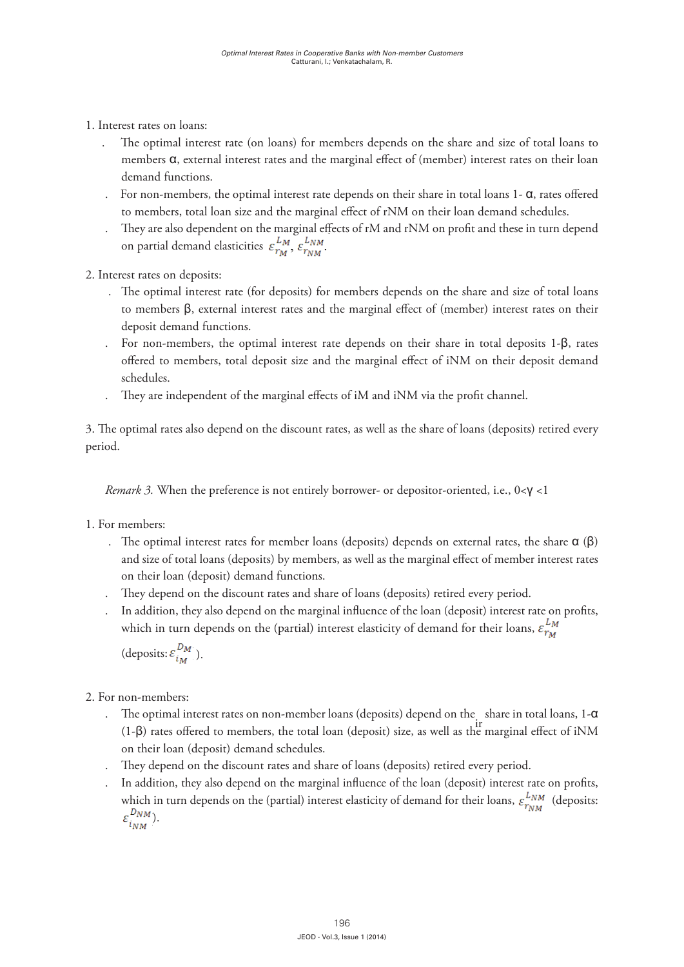- 1. Interest rates on loans:  $1.$  Interest rates on  $1.$  Interest rates on  $1.$  Interest rates on  $1.$  $\overline{3}$ . The optimal rates also depend on the discount rates and share of loans (deposits) retired on the discount rates and share of loans (deposits) retired on the discount rates and share of loans (deposits) retired o
- . The optimal interest rate (on loans) for members depends on the share and size of total loans to members  $\alpha$ , external interest rates and the marginal effect of (member) interest rates on their loan demand functions. • The optimal interest rate (on loans) for members depends on the share and size of The optimal interest rate (on loans) for members depends on the share and size of total loans to demand functions.  $\frac{1}{1-\epsilon}$  in the optimal interest rate on the share in the share in the share in the share in the share in the share in the share in the share in the share in the share in the share in the share in the *Removers 3. external interest rates and the marginal effect of (member) interest* 
	- . For non-members, the optimal interest rate depends on their share in total loans  $1$ - $\alpha$ , rates offered to members, total loan size and the marginal effect of rNM on their loan demand schedules.  $\frac{1}{2}$  and  $\frac{1}{2}$  and  $\frac{1}{2}$  rates since  $\frac{1}{2}$ 1. Interest rates on loans:
		- . They are also dependent on the marginal effects of rM and rNM on profit and these in turn depend on partial demand elasticities  $\varepsilon_{r_M}^{L_M}, \varepsilon_{r_M}^{L_M}$ For the optimal interest rate of the optimal interest of the marginal effects of rM and rNM on profit and these in turn depend<br>  $\frac{LM}{M}$   $\frac{LM}{M}$
		- 2. Interest rates on deposits:  $\mathbf{r}$  non-members, the optimal interest rate depends on the optimal interest rate in total loans 1-  $\mathbf{r}$ 
			- $\mathbb{Z}$ , interest rates on deposits. 2. The optimal interest rate (for deposits) for members depends on the share and size of total loans to members  $\beta$ , external interest rates and the marginal effect of (member) interest rates on their deposit demand functions. demand schedules.
	- . For non-members, the optimal interest rate depends on their share in total deposits  $1-\beta$ , rates offered to members, total deposit size and the marginal effect of iNM on their deposit demand exchedules. schedules. offered to members, total deposit size and the marginal effect of iNM on their deposit demand<br>1 1 1  $\mathcal{L}$  non-members, the optimal interest rate depends on the on the on the interest rate  $\mathcal{L}$ 2. Interest rates on deposits:  $\theta$  schedules.
		- . They are independent of the marginal effects of iM and iNM via the profit channel.  $\mathbb{R}$  rates of the matrix size and the matrix size and the matrix size and the matrix  $\mathbb{R}$

*Remarks 3. Period.* When the preference is not entirely borrower- or depositor-oriented, i.e., 0. **0.** 3. The optimal rates also depend on the discount rates, as well as the share of loans (deposits) retired every period. deposit demand schedules.  $\mathbf{r}$ 

*Remark 3.* When the preference is not entirely borrower- or depositor-oriented, i.e., 0<**γ** <1  $R(X, \ldots, \ldots, \ldots, \ldots)$ 

- 1. For members: *Remark 3. <b>Remark 3. Remark 3. Remark 3. Remark 3. Remark 3. Remark 3. Remark 3. Remark 3. <i>Remark 3.* 
	- . The optimal interest rates for member loans (deposits) depends on external rates, the share  $\alpha$  ( $\beta$ ) and size of total loans (deposits) by members, as well as the marginal effect of member interest rates on their loan (deposit) demand functions.  $\mathbf{r} = \mathbf{r} \cdot \mathbf{r}$  depends on external rates for  $\mathbf{r} = \mathbf{r} \cdot \mathbf{r}$ 
		- They depend on the discount rates and share of loans (deposits) retired every period.
	- which in turn depends on the (partial) interest elasticity of demand for their loans,  $\varepsilon_{r_M}^{L_M}$  $\frac{1}{2}$ . In addition, they also depend on the marginal influence of the loan (deposit) interest rate on profits, which in turn depends on the (partial) interest elasticity of demand for the

(deposits:  $\varepsilon_{i_M}^{D_M}$ ).

- 2. For non-members:
- The optimal interest rates on non-member loans (deposits) depend on the share in total loans,  $1-\alpha$ <br>(1.8) were affected to many low shared low (deposit) size as well as  $h^{\text{ir}}$  many jul. (for a fiNM  $(1-\beta)$  rates offered to members, the total loan (deposit) size, as well as the marginal effect of iNM on their loan (deposit) demand schedules.  $\mathbf{r} = \mathbf{r} - \mathbf{r}$  rates on non-member loans (deposits) depend on the interest on the interest on the interest on the interest on the interest on the interest on the interest on the interest on the interest on the int
- . They depend on the discount rates and share of loans (deposits) retired every period.
- . In addition, they also depend on the marginal influence of the loan (deposit) interest rate on profits, which in turn depends on the (partial) interest elasticity of demand for their loans,  $\varepsilon_{\rm{NMA}}^{\rm{LMM}}$  (deposits:  $\varepsilon_{i_{NMA}}^{DNM}$ ).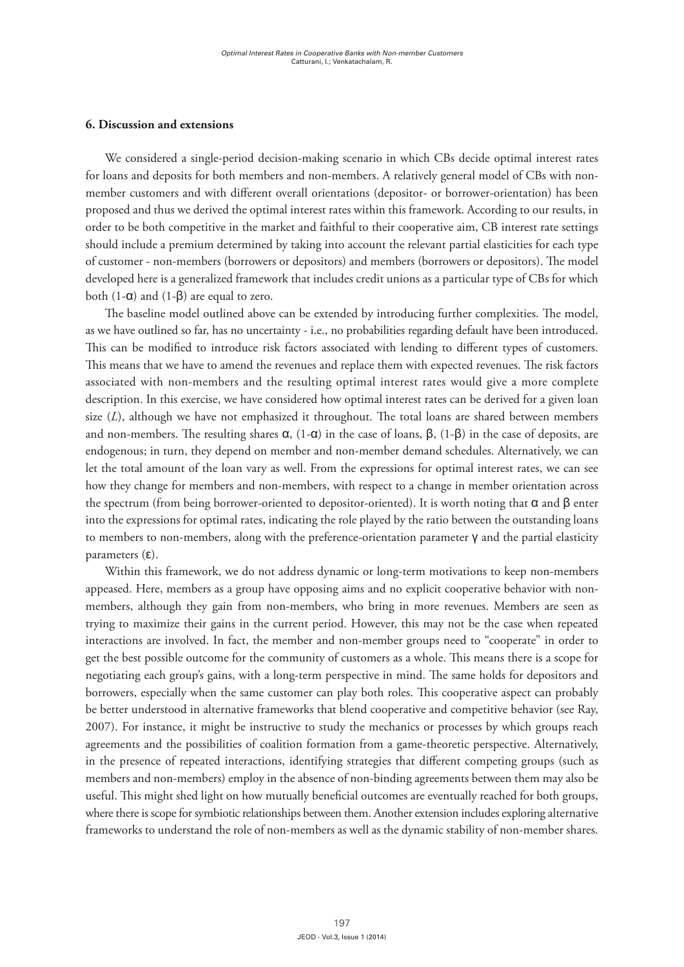#### **6. Discussion and extensions**

We considered a single-period decision-making scenario in which CBs decide optimal interest rates for loans and deposits for both members and non-members. A relatively general model of CBs with nonmember customers and with different overall orientations (depositor- or borrower-orientation) has been proposed and thus we derived the optimal interest rates within this framework. According to our results, in order to be both competitive in the market and faithful to their cooperative aim, CB interest rate settings should include a premium determined by taking into account the relevant partial elasticities for each type of customer - non-members (borrowers or depositors) and members (borrowers or depositors). The model developed here is a generalized framework that includes credit unions as a particular type of CBs for which both  $(1-α)$  and  $(1-β)$  are equal to zero.

The baseline model outlined above can be extended by introducing further complexities. The model, as we have outlined so far, has no uncertainty - i.e., no probabilities regarding default have been introduced. This can be modified to introduce risk factors associated with lending to different types of customers. This means that we have to amend the revenues and replace them with expected revenues. The risk factors associated with non-members and the resulting optimal interest rates would give a more complete description. In this exercise, we have considered how optimal interest rates can be derived for a given loan size (*L*), although we have not emphasized it throughout. The total loans are shared between members and non-members. The resulting shares  $\alpha$ ,  $(1-\alpha)$  in the case of loans,  $\beta$ ,  $(1-\beta)$  in the case of deposits, are endogenous; in turn, they depend on member and non-member demand schedules. Alternatively, we can let the total amount of the loan vary as well. From the expressions for optimal interest rates, we can see how they change for members and non-members, with respect to a change in member orientation across the spectrum (from being borrower-oriented to depositor-oriented). It is worth noting that  $α$  and  $β$  enter into the expressions for optimal rates, indicating the role played by the ratio between the outstanding loans to members to non-members, along with the preference-orientation parameter  $\gamma$  and the partial elasticity parameters  $(ε)$ .

Within this framework, we do not address dynamic or long-term motivations to keep non-members appeased. Here, members as a group have opposing aims and no explicit cooperative behavior with nonmembers, although they gain from non-members, who bring in more revenues. Members are seen as trying to maximize their gains in the current period. However, this may not be the case when repeated interactions are involved. In fact, the member and non-member groups need to "cooperate" in order to get the best possible outcome for the community of customers as a whole. This means there is a scope for negotiating each group's gains, with a long-term perspective in mind. The same holds for depositors and borrowers, especially when the same customer can play both roles. This cooperative aspect can probably be better understood in alternative frameworks that blend cooperative and competitive behavior (see Ray, 2007). For instance, it might be instructive to study the mechanics or processes by which groups reach agreements and the possibilities of coalition formation from a game-theoretic perspective. Alternatively, in the presence of repeated interactions, identifying strategies that different competing groups (such as members and non-members) employ in the absence of non-binding agreements between them may also be useful. This might shed light on how mutually beneficial outcomes are eventually reached for both groups, where there is scope for symbiotic relationships between them. Another extension includes exploring alternative frameworks to understand the role of non-members as well as the dynamic stability of non-member shares.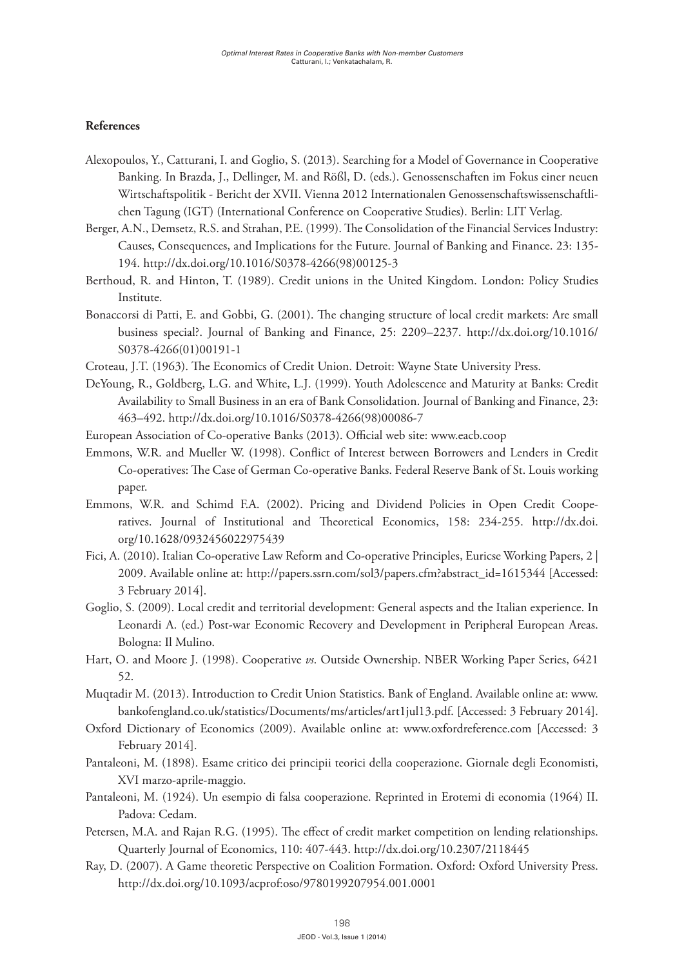# **References**

- Alexopoulos, Y., Catturani, I. and Goglio, S. (2013). Searching for a Model of Governance in Cooperative Banking. In Brazda, J., Dellinger, M. and Rößl, D. (eds.). Genossenschaften im Fokus einer neuen Wirtschaftspolitik - Bericht der XVII. Vienna 2012 Internationalen Genossenschaftswissenschaftlichen Tagung (IGT) (International Conference on Cooperative Studies). Berlin: LIT Verlag.
- Berger, A.N., Demsetz, R.S. and Strahan, P.E. (1999). The Consolidation of the Financial Services Industry: Causes, Consequences, and Implications for the Future. Journal of Banking and Finance. 23: 135- 194. [http://dx.doi.org/10.1016/S0378-4266\(98\)00125-3](http://dx.doi.org/10.1016/S0378-4266(98)00125-3)
- Berthoud, R. and Hinton, T. (1989). Credit unions in the United Kingdom. London: Policy Studies Institute.
- Bonaccorsi di Patti, E. and Gobbi, G. (2001). The changing structure of local credit markets: Are small business special?. Journal of Banking and Finance, 25: 2209–2237. [http://dx.doi.org/10.1016/](http://dx.doi.org/10.1016/S0378-4266(01)00191-1) [S0378-4266\(01\)00191-1](http://dx.doi.org/10.1016/S0378-4266(01)00191-1)
- Croteau, J.T. (1963). The Economics of Credit Union. Detroit: Wayne State University Press.
- DeYoung, R., Goldberg, L.G. and White, L.J. (1999). Youth Adolescence and Maturity at Banks: Credit Availability to Small Business in an era of Bank Consolidation. Journal of Banking and Finance, 23: 463–492. [http://dx.doi.org/10.1016/S0378-4266\(98\)00086-7](http://dx.doi.org/10.1016/S0378-4266(98)00086-7)
- [European Association of Co-operative Banks \(2013\).](https://www.google.it/url?sa=t&rct=j&q=&esrc=s&source=web&cd=1&cad=rja&uact=8&ved=0CDAQFjAA&url=http%3A%2F%2Fwww.eacb.coop%2F&ei=DV1NU4rlK-L8ygPvwoCYDg&usg=AFQjCNF2poKGfi_sakKeqQh5plV71CaFRw&sig2=gxZ9Ho8ls8NFdKX9sy9slQ&bvm=bv.64764171,d.bGQ) Official web site: [www.eacb.coop](http://www.eacb.coop)
- Emmons, W.R. and Mueller W. (1998). Conflict of Interest between Borrowers and Lenders in Credit Co-operatives: The Case of German Co-operative Banks. Federal Reserve Bank of St. Louis working paper.
- Emmons, W.R. and Schimd F.A. (2002). Pricing and Dividend Policies in Open Credit Cooperatives. Journal of Institutional and Theoretical Economics, 158: 234-255. [http://dx.doi.](http://dx.doi.org/10.1628/0932456022975439) [org/10.1628/0932456022975439](http://dx.doi.org/10.1628/0932456022975439)
- Fici, A. (2010). Italian Co-operative Law Reform and Co-operative Principles, Euricse Working Papers, 2 | 2009. Available online at: http://papers.ssrn.com/sol3/papers.cfm?abstract\_id=1615344 [Accessed: 3 February 2014].
- Goglio, S. (2009). Local credit and territorial development: General aspects and the Italian experience. In Leonardi A. (ed.) Post-war Economic Recovery and Development in Peripheral European Areas. Bologna: Il Mulino.
- Hart, O. and Moore J. (1998). Cooperative *vs*. Outside Ownership. NBER Working Paper Series, 6421 52.
- Muqtadir M. (2013). Introduction to Credit Union Statistics. Bank of England. Available online at: [www.](http://www.bankofengland.co.uk/statistics/Documents/ms/articles/art1jul13.pdf) [bankofengland.co.uk/statistics/Documents/ms/articles/art1jul13.pdf](http://www.bankofengland.co.uk/statistics/Documents/ms/articles/art1jul13.pdf). [Accessed: 3 February 2014].
- Oxford Dictionary of Economics (2009). Available online at: [www.oxfordreference.com](http://www.oxfordreference.com) [Accessed: 3 February 2014].
- Pantaleoni, M. (1898). Esame critico dei principii teorici della cooperazione. Giornale degli Economisti, XVI marzo-aprile-maggio.
- Pantaleoni, M. (1924). Un esempio di falsa cooperazione. Reprinted in Erotemi di economia (1964) II. Padova: Cedam.
- Petersen, M.A. and Rajan R.G. (1995). The effect of credit market competition on lending relationships. Quarterly Journal of Economics, 110: 407-443.<http://dx.doi.org/10.2307/2118445>
- Ray, D. (2007). A Game theoretic Perspective on Coalition Formation. Oxford: Oxford University Press. <http://dx.doi.org/10.1093/acprof:oso/9780199207954.001.0001>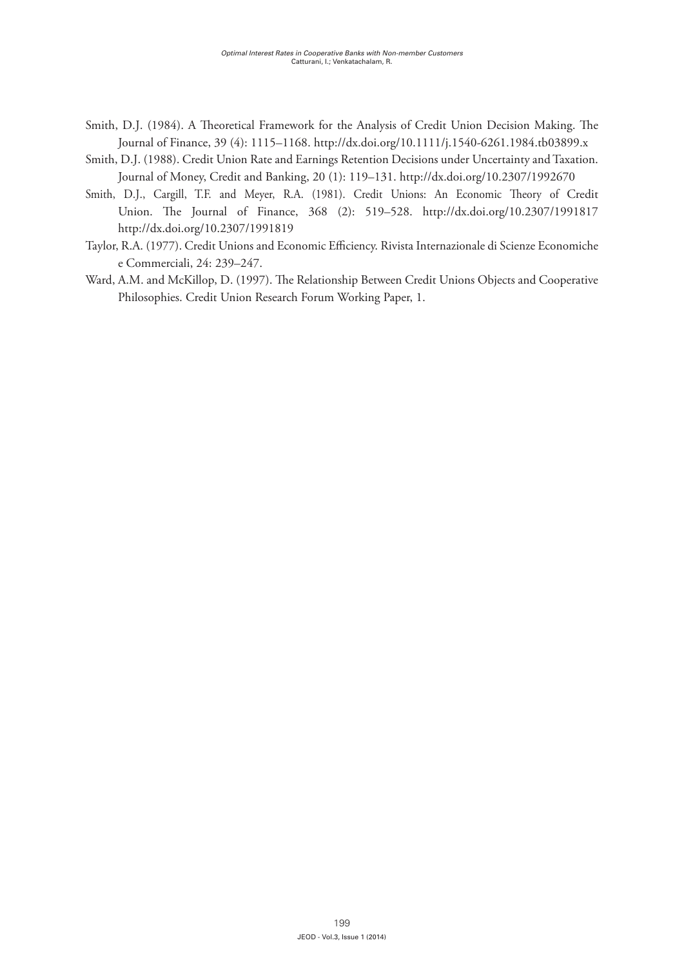- Smith, D.J. (1984). A Theoretical Framework for the Analysis of Credit Union Decision Making. The Journal of Finance, 39 (4): 1115–1168.<http://dx.doi.org/10.1111/j.1540-6261.1984.tb03899.x>
- Smith, D.J. (1988). Credit Union Rate and Earnings Retention Decisions under Uncertainty and Taxation. Journal of Money, Credit and Banking, 20 (1): 119–131. <http://dx.doi.org/10.2307/1992670>
- Smith, D.J., Cargill, T.F. and Meyer, R.A. (1981). Credit Unions: An Economic Theory of Credit Union. The Journal of Finance, 368 (2): 519–528. <http://dx.doi.org/10.2307/1991817> <http://dx.doi.org/10.2307/1991819>
- Taylor, R.A. (1977). Credit Unions and Economic Efficiency. Rivista Internazionale di Scienze Economiche e Commerciali, 24: 239–247.
- Ward, A.M. and McKillop, D. (1997). The Relationship Between Credit Unions Objects and Cooperative Philosophies. Credit Union Research Forum Working Paper, 1.